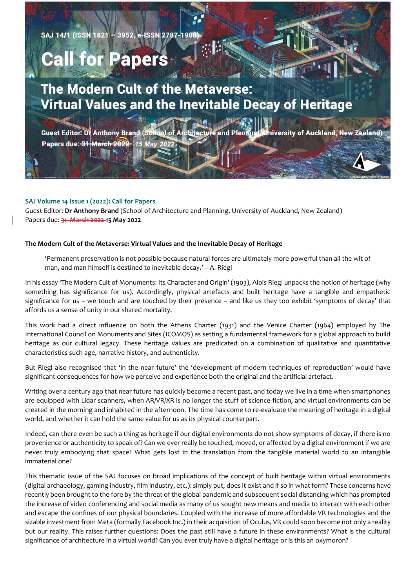**SAJ 14/1 (ISSN 1821)** - 3952, e-ISSN 2787-1908

## **Call for Papers**

## **The Modern Cult of the Metaverse:** Virtual Values and the Inevitable Decay of Heritage

∣ø, dol of Architecture and Plannin **Guest Editor: Dr Anthony Brand (Sch** niversity of Auckland, New Zealand) Papers due: 31 March 2022 15 May 20227

## **SAJ Volume 14 Issue 1 (2022): Call for Papers**

Guest Editor: **Dr Anthony Brand** (School of Architecture and Planning, University of Auckland, New Zealand) Papers due: **31 March 2022 15 May 2022**

## **The Modern Cult of the Metaverse: Virtual Values and the Inevitable Decay of Heritage**

'Permanent preservation is not possible because natural forces are ultimately more powerful than all the wit of man, and man himself is destined to inevitable decay.' – A. Riegl

In his essay 'The Modern Cult of Monuments: Its Character and Origin' (1903), Alois Riegl unpacks the notion of heritage (why something has significance for us). Accordingly, physical artefacts and built heritage have a tangible and empathetic significance for us – we touch and are touched by their presence – and like us they too exhibit 'symptoms of decay' that affords us a sense of unity in our shared mortality.

This work had a direct influence on both the Athens Charter (1931) and the Venice Charter (1964) employed by The International Council on Monuments and Sites (ICOMOS) as setting a fundamental framework for a global approach to build heritage as our cultural legacy. These heritage values are predicated on a combination of qualitative and quantitative characteristics such age, narrative history, and authenticity.

But Riegl also recognised that 'in the near future' the 'development of modern techniques of reproduction' would have significant consequences for how we perceive and experience both the original and the artificial artefact.

Writing over a century ago that near future has quickly become a recent past, and today we live in a time when smartphones are equipped with Lidar scanners, when AR/VR/XR is no longer the stuff of science-fiction, and virtual environments can be created in the morning and inhabited in the afternoon. The time has come to re-evaluate the meaning of heritage in a digital world, and whether it can hold the same value for us as its physical counterpart.

Indeed, can there even be such a thing as heritage if our digital environments do not show symptoms of decay, if there is no provenience or authenticity to speak of? Can we ever really be touched, moved, or affected by a digital environment if we are never truly embodying that space? What gets lost in the translation from the tangible material world to an intangible immaterial one?

This thematic issue of the SAJ focuses on broad implications of the concept of built heritage within virtual environments (digital archaeology, gaming industry, film industry, etc.): simply put, does it exist and if so in what form? These concerns have recently been brought to the fore by the threat of the global pandemic and subsequent social distancing which has prompted the increase of video conferencing and social media as many of us sought new means and media to interact with each other and escape the confines of our physical boundaries. Coupled with the increase of more affordable VR technologies and the sizable investment from Meta (formally Facebook Inc.) in their acquisition of Oculus, VR could soon become not only a reality but our reality. This raises further questions: Does the past still have a future in these environments? What is the cultural significance of architecture in a virtual world? Can you ever truly have a digital heritage or is this an oxymoron?